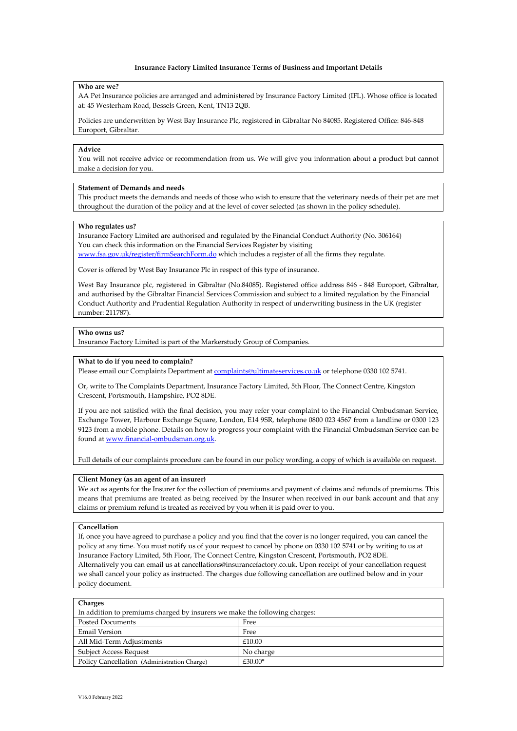### **Insurance Factory Limited Insurance Terms of Business and Important Details**

### **Who are we?**

AA Pet Insurance policies are arranged and administered by Insurance Factory Limited (IFL). Whose office is located at: 45 Westerham Road, Bessels Green, Kent, TN13 2QB.

Policies are underwritten by West Bay Insurance Plc, registered in Gibraltar No 84085. Registered Office: 846-848 Europort, Gibraltar.

# **Advice**

You will not receive advice or recommendation from us. We will give you information about a product but cannot make a decision for you.

# **Statement of Demands and needs**

This product meets the demands and needs of those who wish to ensure that the veterinary needs of their pet are met throughout the duration of the policy and at the level of cover selected (as shown in the policy schedule).

### **Who regulates us?**

Insurance Factory Limited are authorised and regulated by the Financial Conduct Authority (No. 306164) You can check this information on the Financial Services Register by visiting [www.fsa.gov.uk/register/firmSearchForm.do](http://www.fsa.gov.uk/register/firmSearchForm.do) which includes a register of all the firms they regulate.

Cover is offered by West Bay Insurance Plc in respect of this type of insurance.

West Bay Insurance plc, registered in Gibraltar (No.84085). Registered office address 846 - 848 Europort, Gibraltar, and authorised by the Gibraltar Financial Services Commission and subject to a limited regulation by the Financial Conduct Authority and Prudential Regulation Authority in respect of underwriting business in the UK (register number: 211787).

## **Who owns us?**

Insurance Factory Limited is part of the Markerstudy Group of Companies.

# **What to do if you need to complain?**

Please email our Complaints Department a[t complaints@ultimateservices.co.uk](mailto:complaints@ultimateservices.co.uk) or telephone 0330 102 5741.

Or, write to The Complaints Department, Insurance Factory Limited, 5th Floor, The Connect Centre, Kingston Crescent, Portsmouth, Hampshire, PO2 8DE.

If you are not satisfied with the final decision, you may refer your complaint to the Financial Ombudsman Service, Exchange Tower, Harbour Exchange Square, London, E14 9SR, telephone 0800 023 4567 from a landline or 0300 123 9123 from a mobile phone. Details on how to progress your complaint with the Financial Ombudsman Service can be found a[t www.financial-ombudsman.org.uk.](http://www.financial-ombudsman.org.uk/)

Full details of our complaints procedure can be found in our policy wording, a copy of which is available on request.

### **Client Money (as an agent of an insurer)**

We act as agents for the Insurer for the collection of premiums and payment of claims and refunds of premiums. This means that premiums are treated as being received by the Insurer when received in our bank account and that any claims or premium refund is treated as received by you when it is paid over to you.

# **Cancellation**

If, once you have agreed to purchase a policy and you find that the cover is no longer required, you can cancel the policy at any time. You must notify us of your request to cancel by phone on 0330 102 5741 or by writing to us at Insurance Factory Limited, 5th Floor, The Connect Centre, Kingston Crescent, Portsmouth, PO2 8DE. Alternatively you can email us at cancellations@insurancefactory.co.uk. Upon receipt of your cancellation request we shall cancel your policy as instructed. The charges due following cancellation are outlined below and in your policy document.

| <b>Charges</b>                                                             |           |  |
|----------------------------------------------------------------------------|-----------|--|
| In addition to premiums charged by insurers we make the following charges: |           |  |
| <b>Posted Documents</b>                                                    | Free      |  |
| Email Version                                                              | Free      |  |
| All Mid-Term Adjustments                                                   | £10.00    |  |
| <b>Subject Access Request</b>                                              | No charge |  |
| Policy Cancellation (Administration Charge)                                | £30.00*   |  |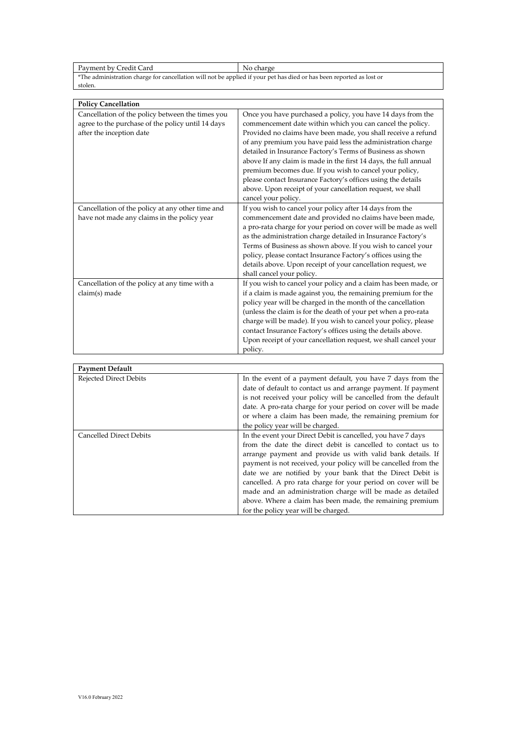Payment by Credit Card No charge \*The administration charge for cancellation will not be applied if your pet has died or has been reported as lost or stolen.

| <b>Policy Cancellation</b>                                                                                                        |                                                                                                                                                                                                                                                                                                                                                                                                                                                                                                                                                                                                            |
|-----------------------------------------------------------------------------------------------------------------------------------|------------------------------------------------------------------------------------------------------------------------------------------------------------------------------------------------------------------------------------------------------------------------------------------------------------------------------------------------------------------------------------------------------------------------------------------------------------------------------------------------------------------------------------------------------------------------------------------------------------|
| Cancellation of the policy between the times you<br>agree to the purchase of the policy until 14 days<br>after the inception date | Once you have purchased a policy, you have 14 days from the<br>commencement date within which you can cancel the policy.<br>Provided no claims have been made, you shall receive a refund<br>of any premium you have paid less the administration charge<br>detailed in Insurance Factory's Terms of Business as shown<br>above If any claim is made in the first 14 days, the full annual<br>premium becomes due. If you wish to cancel your policy,<br>please contact Insurance Factory's offices using the details<br>above. Upon receipt of your cancellation request, we shall<br>cancel your policy. |
| Cancellation of the policy at any other time and<br>have not made any claims in the policy year                                   | If you wish to cancel your policy after 14 days from the<br>commencement date and provided no claims have been made,<br>a pro-rata charge for your period on cover will be made as well<br>as the administration charge detailed in Insurance Factory's<br>Terms of Business as shown above. If you wish to cancel your<br>policy, please contact Insurance Factory's offices using the<br>details above. Upon receipt of your cancellation request, we<br>shall cancel your policy.                                                                                                                       |
| Cancellation of the policy at any time with a<br>claim(s) made                                                                    | If you wish to cancel your policy and a claim has been made, or<br>if a claim is made against you, the remaining premium for the<br>policy year will be charged in the month of the cancellation<br>(unless the claim is for the death of your pet when a pro-rata<br>charge will be made). If you wish to cancel your policy, please<br>contact Insurance Factory's offices using the details above.<br>Upon receipt of your cancellation request, we shall cancel your<br>policy.                                                                                                                        |

| <b>Payment Default</b>         |                                                                 |
|--------------------------------|-----------------------------------------------------------------|
| <b>Rejected Direct Debits</b>  | In the event of a payment default, you have 7 days from the     |
|                                | date of default to contact us and arrange payment. If payment   |
|                                | is not received your policy will be cancelled from the default  |
|                                | date. A pro-rata charge for your period on cover will be made   |
|                                | or where a claim has been made, the remaining premium for       |
|                                | the policy year will be charged.                                |
| <b>Cancelled Direct Debits</b> | In the event your Direct Debit is cancelled, you have 7 days    |
|                                | from the date the direct debit is cancelled to contact us to    |
|                                | arrange payment and provide us with valid bank details. If      |
|                                | payment is not received, your policy will be cancelled from the |
|                                | date we are notified by your bank that the Direct Debit is      |
|                                | cancelled. A pro rata charge for your period on cover will be   |
|                                | made and an administration charge will be made as detailed      |
|                                | above. Where a claim has been made, the remaining premium       |
|                                | for the policy year will be charged.                            |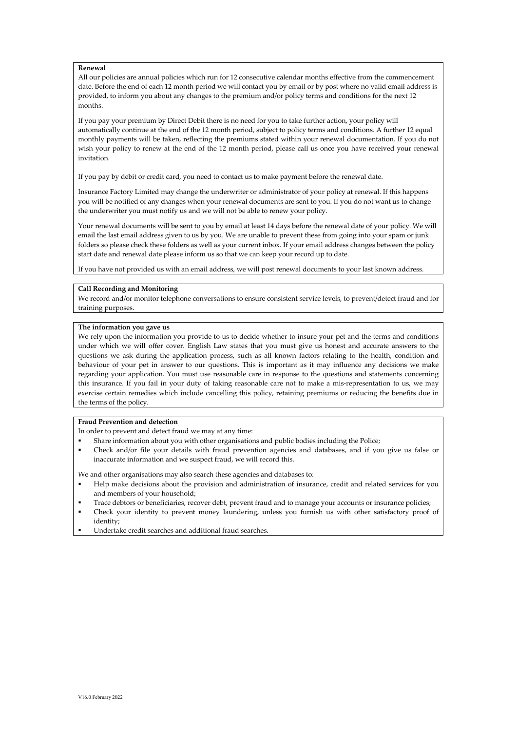## **Renewal**

All our policies are annual policies which run for 12 consecutive calendar months effective from the commencement date. Before the end of each 12 month period we will contact you by email or by post where no valid email address is provided, to inform you about any changes to the premium and/or policy terms and conditions for the next 12 months.

If you pay your premium by Direct Debit there is no need for you to take further action, your policy will automatically continue at the end of the 12 month period, subject to policy terms and conditions. A further 12 equal monthly payments will be taken, reflecting the premiums stated within your renewal documentation. If you do not wish your policy to renew at the end of the 12 month period, please call us once you have received your renewal invitation.

If you pay by debit or credit card, you need to contact us to make payment before the renewal date.

Insurance Factory Limited may change the underwriter or administrator of your policy at renewal. If this happens you will be notified of any changes when your renewal documents are sent to you. If you do not want us to change the underwriter you must notify us and we will not be able to renew your policy.

Your renewal documents will be sent to you by email at least 14 days before the renewal date of your policy. We will email the last email address given to us by you. We are unable to prevent these from going into your spam or junk folders so please check these folders as well as your current inbox. If your email address changes between the policy start date and renewal date please inform us so that we can keep your record up to date.

If you have not provided us with an email address, we will post renewal documents to your last known address.

## **Call Recording and Monitoring**

We record and/or monitor telephone conversations to ensure consistent service levels, to prevent/detect fraud and for training purposes.

# **The information you gave us**

We rely upon the information you provide to us to decide whether to insure your pet and the terms and conditions under which we will offer cover. English Law states that you must give us honest and accurate answers to the questions we ask during the application process, such as all known factors relating to the health, condition and behaviour of your pet in answer to our questions. This is important as it may influence any decisions we make regarding your application. You must use reasonable care in response to the questions and statements concerning this insurance. If you fail in your duty of taking reasonable care not to make a mis-representation to us, we may exercise certain remedies which include cancelling this policy, retaining premiums or reducing the benefits due in the terms of the policy.

# **Fraud Prevention and detection**

In order to prevent and detect fraud we may at any time:

- Share information about you with other organisations and public bodies including the Police;
- Check and/or file your details with fraud prevention agencies and databases, and if you give us false or inaccurate information and we suspect fraud, we will record this.

We and other organisations may also search these agencies and databases to:

- Help make decisions about the provision and administration of insurance, credit and related services for you and members of your household;
- Trace debtors or beneficiaries, recover debt, prevent fraud and to manage your accounts or insurance policies;
- Check your identity to prevent money laundering, unless you furnish us with other satisfactory proof of identity;
- Undertake credit searches and additional fraud searches.